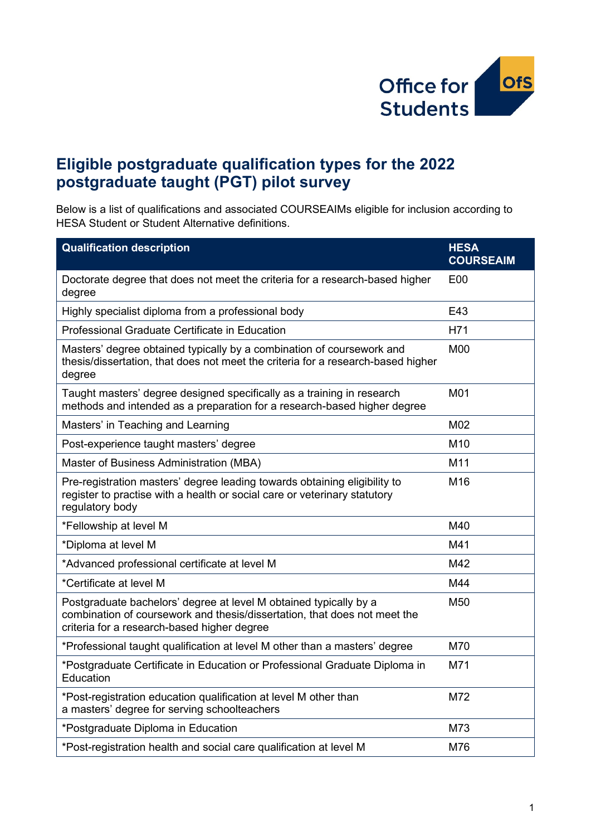

## **Eligible postgraduate qualification types for the 2022 postgraduate taught (PGT) pilot survey**

Below is a list of qualifications and associated COURSEAIMs eligible for inclusion according to HESA Student or Student Alternative definitions.

| <b>Qualification description</b>                                                                                                                                                              | <b>HESA</b><br><b>COURSEAIM</b> |
|-----------------------------------------------------------------------------------------------------------------------------------------------------------------------------------------------|---------------------------------|
| Doctorate degree that does not meet the criteria for a research-based higher<br>degree                                                                                                        | <b>E00</b>                      |
| Highly specialist diploma from a professional body                                                                                                                                            | E43                             |
| Professional Graduate Certificate in Education                                                                                                                                                | H71                             |
| Masters' degree obtained typically by a combination of coursework and<br>thesis/dissertation, that does not meet the criteria for a research-based higher<br>degree                           | <b>M00</b>                      |
| Taught masters' degree designed specifically as a training in research<br>methods and intended as a preparation for a research-based higher degree                                            | M01                             |
| Masters' in Teaching and Learning                                                                                                                                                             | M02                             |
| Post-experience taught masters' degree                                                                                                                                                        | M10                             |
| Master of Business Administration (MBA)                                                                                                                                                       | M11                             |
| Pre-registration masters' degree leading towards obtaining eligibility to<br>register to practise with a health or social care or veterinary statutory<br>regulatory body                     | M16                             |
| *Fellowship at level M                                                                                                                                                                        | M40                             |
| *Diploma at level M                                                                                                                                                                           | M41                             |
| *Advanced professional certificate at level M                                                                                                                                                 | M42                             |
| *Certificate at level M                                                                                                                                                                       | M44                             |
| Postgraduate bachelors' degree at level M obtained typically by a<br>combination of coursework and thesis/dissertation, that does not meet the<br>criteria for a research-based higher degree | M50                             |
| *Professional taught qualification at level M other than a masters' degree                                                                                                                    | M70                             |
| *Postgraduate Certificate in Education or Professional Graduate Diploma in<br>Education                                                                                                       | M71                             |
| *Post-registration education qualification at level M other than<br>a masters' degree for serving schoolteachers                                                                              | M72                             |
| *Postgraduate Diploma in Education                                                                                                                                                            | M73                             |
| *Post-registration health and social care qualification at level M                                                                                                                            | M76                             |